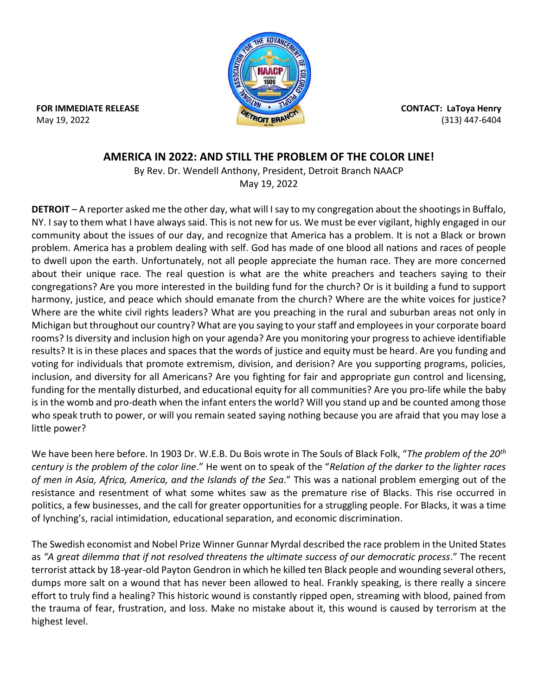

**FOR IMMEDIATE RELEASE**  May 19, 2022

**CONTACT: LaToya Henry** (313) 447-6404

## **AMERICA IN 2022: AND STILL THE PROBLEM OF THE COLOR LINE!**

By Rev. Dr. Wendell Anthony, President, Detroit Branch NAACP May 19, 2022

**DETROIT** – A reporter asked me the other day, what will I say to my congregation about the shootings in Buffalo, NY. I say to them what I have always said. This is not new for us. We must be ever vigilant, highly engaged in our community about the issues of our day, and recognize that America has a problem. It is not a Black or brown problem. America has a problem dealing with self. God has made of one blood all nations and races of people to dwell upon the earth. Unfortunately, not all people appreciate the human race. They are more concerned about their unique race. The real question is what are the white preachers and teachers saying to their congregations? Are you more interested in the building fund for the church? Or is it building a fund to support harmony, justice, and peace which should emanate from the church? Where are the white voices for justice? Where are the white civil rights leaders? What are you preaching in the rural and suburban areas not only in Michigan but throughout our country? What are you saying to your staff and employees in your corporate board rooms? Is diversity and inclusion high on your agenda? Are you monitoring your progress to achieve identifiable results? It is in these places and spaces that the words of justice and equity must be heard. Are you funding and voting for individuals that promote extremism, division, and derision? Are you supporting programs, policies, inclusion, and diversity for all Americans? Are you fighting for fair and appropriate gun control and licensing, funding for the mentally disturbed, and educational equity for all communities? Are you pro-life while the baby is in the womb and pro-death when the infant enters the world? Will you stand up and be counted among those who speak truth to power, or will you remain seated saying nothing because you are afraid that you may lose a little power?

We have been here before. In 1903 Dr. W.E.B. Du Bois wrote in The Souls of Black Folk, "*The problem of the 20th century is the problem of the color line*." He went on to speak of the "*Relation of the darker to the lighter races of men in Asia, Africa, America, and the Islands of the Sea*." This was a national problem emerging out of the resistance and resentment of what some whites saw as the premature rise of Blacks. This rise occurred in politics, a few businesses, and the call for greater opportunities for a struggling people. For Blacks, it was a time of lynching's, racial intimidation, educational separation, and economic discrimination.

The Swedish economist and Nobel Prize Winner Gunnar Myrdal described the race problem in the United States as *"A great dilemma that if not resolved threatens the ultimate success of our democratic process*." The recent terrorist attack by 18-year-old Payton Gendron in which he killed ten Black people and wounding several others, dumps more salt on a wound that has never been allowed to heal. Frankly speaking, is there really a sincere effort to truly find a healing? This historic wound is constantly ripped open, streaming with blood, pained from the trauma of fear, frustration, and loss. Make no mistake about it, this wound is caused by terrorism at the highest level.